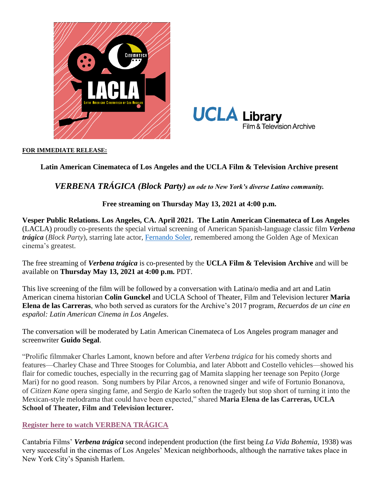



#### **FOR IMMEDIATE RELEASE:**

# **Latin American Cinemateca of Los Angeles and the UCLA Film & Television Archive present**

# *VERBENA TRÁGICA (Block Party) an ode to New York's diverse Latino community.*

### **Free streaming on Thursday May 13, 2021 at 4:00 p.m.**

**Vesper Public Relations. Los Angeles, CA. April 2021. The Latin American Cinemateca of Los Angeles**  (LACLA) proudly co-presents the special virtual screening of American Spanish-language classic film *Verbena trágica* (*Block Party*), starring late actor, [Fernando Soler,](https://www.imdb.com/name/nm0812937/?ref_=tt_cl_t1#director) remembered among the Golden Age of Mexican cinema's greatest.

The free streaming of *Verbena trágica* is co-presented by the **UCLA Film & Television Archive** and will be available on **Thursday May 13, 2021 at 4:00 p.m.** PDT.

This live screening of the film will be followed by a conversation with Latina/o media and art and Latin American cinema historian **Colin Gunckel** and UCLA School of Theater, Film and Television lecturer **Maria Elena de las Carreras**, who both served as curators for the Archive's 2017 program, *Recuerdos de un cine en español: Latin American Cinema in Los Angeles*.

The conversation will be moderated by Latin American Cinemateca of Los Angeles program manager and screenwriter **Guido Segal**.

"Prolific filmmaker Charles Lamont, known before and after *Verbena trágica* for his comedy shorts and features—Charley Chase and Three Stooges for Columbia, and later Abbott and Costello vehicles—showed his flair for comedic touches, especially in the recurring gag of Mamita slapping her teenage son Pepito (Jorge Mari) for no good reason. Song numbers by Pilar Arcos, a renowned singer and wife of Fortunio Bonanova, of *Citizen Kane* opera singing fame, and Sergio de Karlo soften the tragedy but stop short of turning it into the Mexican-style melodrama that could have been expected," shared **Maria Elena de las Carreras, UCLA School of Theater, Film and Television lecturer.**

### **[Register here to watch VERBENA TRÁGICA](https://www.eventbrite.com/e/verbena-tragica-registration-151231801389)**

Cantabria Films' *Verbena trágica* second independent production (the first being *La Vida Bohemia*, 1938) was very successful in the cinemas of Los Angeles' Mexican neighborhoods, although the narrative takes place in New York City's Spanish Harlem.